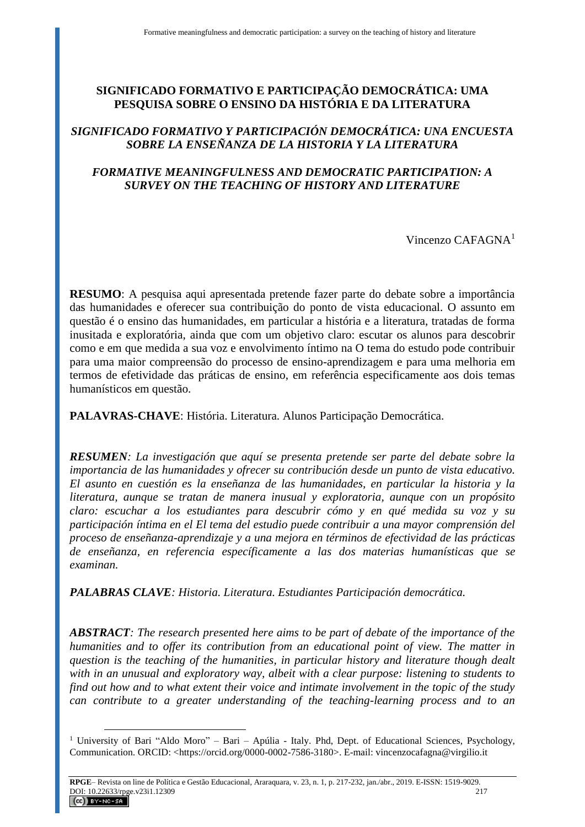# **SIGNIFICADO FORMATIVO E PARTICIPAÇÃO DEMOCRÁTICA: UMA PESQUISA SOBRE O ENSINO DA HISTÓRIA E DA LITERATURA**

# *SIGNIFICADO FORMATIVO Y PARTICIPACIÓN DEMOCRÁTICA: UNA ENCUESTA SOBRE LA ENSEÑANZA DE LA HISTORIA Y LA LITERATURA*

# *FORMATIVE MEANINGFULNESS AND DEMOCRATIC PARTICIPATION: A SURVEY ON THE TEACHING OF HISTORY AND LITERATURE*

Vincenzo CAFAGNA<sup>1</sup>

**RESUMO**: A pesquisa aqui apresentada pretende fazer parte do debate sobre a importância das humanidades e oferecer sua contribuição do ponto de vista educacional. O assunto em questão é o ensino das humanidades, em particular a história e a literatura, tratadas de forma inusitada e exploratória, ainda que com um objetivo claro: escutar os alunos para descobrir como e em que medida a sua voz e envolvimento íntimo na O tema do estudo pode contribuir para uma maior compreensão do processo de ensino-aprendizagem e para uma melhoria em termos de efetividade das práticas de ensino, em referência especificamente aos dois temas humanísticos em questão.

**PALAVRAS-CHAVE**: História. Literatura. Alunos Participação Democrática.

*RESUMEN: La investigación que aquí se presenta pretende ser parte del debate sobre la importancia de las humanidades y ofrecer su contribución desde un punto de vista educativo. El asunto en cuestión es la enseñanza de las humanidades, en particular la historia y la literatura, aunque se tratan de manera inusual y exploratoria, aunque con un propósito claro: escuchar a los estudiantes para descubrir cómo y en qué medida su voz y su participación íntima en el El tema del estudio puede contribuir a una mayor comprensión del proceso de enseñanza-aprendizaje y a una mejora en términos de efectividad de las prácticas de enseñanza, en referencia específicamente a las dos materias humanísticas que se examinan.*

*PALABRAS CLAVE: Historia. Literatura. Estudiantes Participación democrática.*

*ABSTRACT: The research presented here aims to be part of debate of the importance of the humanities and to offer its contribution from an educational point of view. The matter in question is the teaching of the humanities, in particular history and literature though dealt with in an unusual and exploratory way, albeit with a clear purpose: listening to students to find out how and to what extent their voice and intimate involvement in the topic of the study can contribute to a greater understanding of the teaching-learning process and to an* 

 $\overline{a}$ 

<sup>&</sup>lt;sup>1</sup> University of Bari "Aldo Moro" – Bari – Apúlia - Italy. Phd, Dept. of Educational Sciences, Psychology, Communication. ORCID: <https://orcid.org/0000-0002-7586-3180>. E-mail: vincenzocafagna@virgilio.it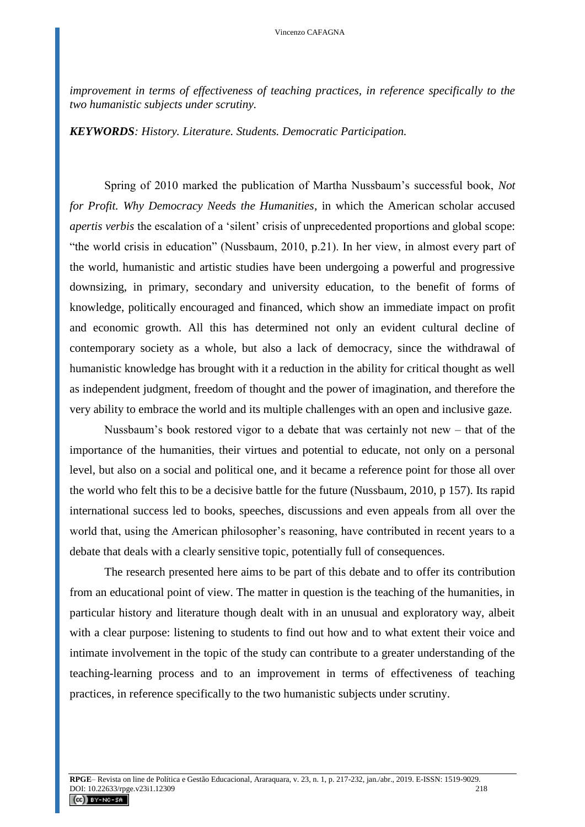*improvement in terms of effectiveness of teaching practices, in reference specifically to the two humanistic subjects under scrutiny.*

*KEYWORDS: History. Literature. Students. Democratic Participation.*

Spring of 2010 marked the publication of Martha Nussbaum's successful book, *Not for Profit. Why Democracy Needs the Humanities*, in which the American scholar accused *apertis verbis* the escalation of a 'silent' crisis of unprecedented proportions and global scope: "the world crisis in education" (Nussbaum, 2010, p.21). In her view, in almost every part of the world, humanistic and artistic studies have been undergoing a powerful and progressive downsizing, in primary, secondary and university education, to the benefit of forms of knowledge, politically encouraged and financed, which show an immediate impact on profit and economic growth. All this has determined not only an evident cultural decline of contemporary society as a whole, but also a lack of democracy, since the withdrawal of humanistic knowledge has brought with it a reduction in the ability for critical thought as well as independent judgment, freedom of thought and the power of imagination, and therefore the very ability to embrace the world and its multiple challenges with an open and inclusive gaze.

Nussbaum's book restored vigor to a debate that was certainly not new – that of the importance of the humanities, their virtues and potential to educate, not only on a personal level, but also on a social and political one, and it became a reference point for those all over the world who felt this to be a decisive battle for the future (Nussbaum, 2010, p 157). Its rapid international success led to books, speeches, discussions and even appeals from all over the world that, using the American philosopher's reasoning, have contributed in recent years to a debate that deals with a clearly sensitive topic, potentially full of consequences.

The research presented here aims to be part of this debate and to offer its contribution from an educational point of view. The matter in question is the teaching of the humanities, in particular history and literature though dealt with in an unusual and exploratory way, albeit with a clear purpose: listening to students to find out how and to what extent their voice and intimate involvement in the topic of the study can contribute to a greater understanding of the teaching-learning process and to an improvement in terms of effectiveness of teaching practices, in reference specifically to the two humanistic subjects under scrutiny.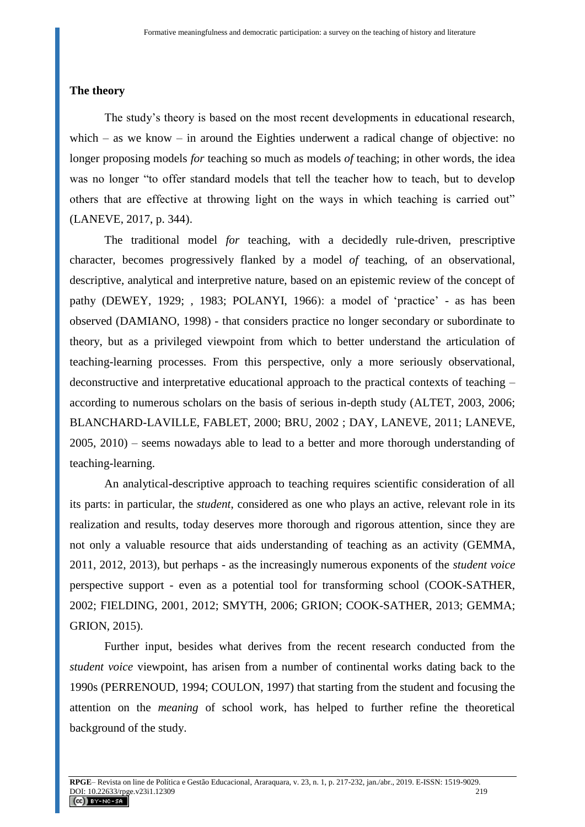### **The theory**

The study's theory is based on the most recent developments in educational research, which – as we know – in around the Eighties underwent a radical change of objective: no longer proposing models *for* teaching so much as models *of* teaching; in other words, the idea was no longer "to offer standard models that tell the teacher how to teach, but to develop others that are effective at throwing light on the ways in which teaching is carried out" (LANEVE, 2017, p. 344).

The traditional model *for* teaching, with a decidedly rule-driven, prescriptive character, becomes progressively flanked by a model *of* teaching, of an observational, descriptive, analytical and interpretive nature, based on an epistemic review of the concept of pathy (DEWEY, 1929; , 1983; POLANYI, 1966): a model of 'practice' - as has been observed (DAMIANO, 1998) - that considers practice no longer secondary or subordinate to theory, but as a privileged viewpoint from which to better understand the articulation of teaching-learning processes. From this perspective, only a more seriously observational, deconstructive and interpretative educational approach to the practical contexts of teaching – according to numerous scholars on the basis of serious in-depth study (ALTET, 2003, 2006; BLANCHARD-LAVILLE, FABLET, 2000; BRU, 2002 ; DAY, LANEVE, 2011; LANEVE, 2005, 2010) – seems nowadays able to lead to a better and more thorough understanding of teaching-learning.

An analytical-descriptive approach to teaching requires scientific consideration of all its parts: in particular, the *student*, considered as one who plays an active, relevant role in its realization and results, today deserves more thorough and rigorous attention, since they are not only a valuable resource that aids understanding of teaching as an activity (GEMMA, 2011, 2012, 2013), but perhaps - as the increasingly numerous exponents of the *student voice* perspective support - even as a potential tool for transforming school (COOK-SATHER, 2002; FIELDING, 2001, 2012; SMYTH, 2006; GRION; COOK-SATHER, 2013; GEMMA; GRION, 2015).

Further input, besides what derives from the recent research conducted from the *student voice* viewpoint, has arisen from a number of continental works dating back to the 1990s (PERRENOUD, 1994; COULON, 1997) that starting from the student and focusing the attention on the *meaning* of school work, has helped to further refine the theoretical background of the study.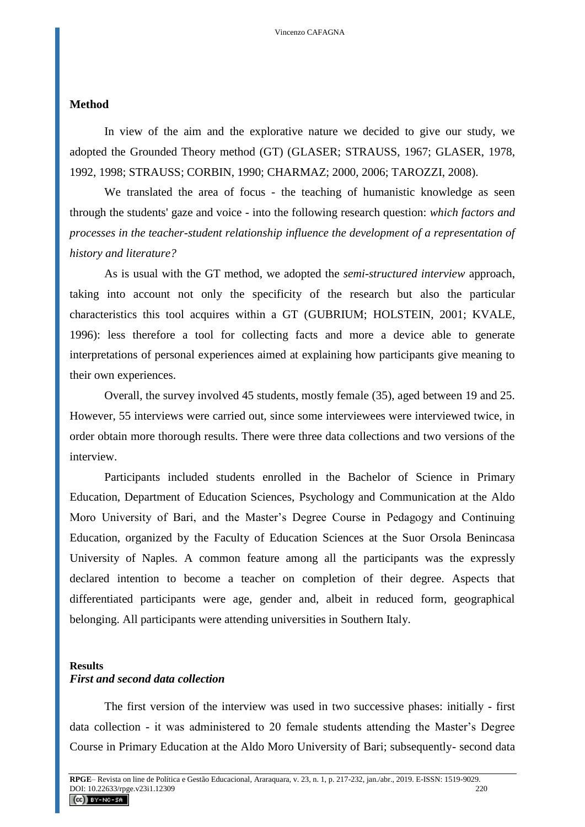#### **Method**

In view of the aim and the explorative nature we decided to give our study, we adopted the Grounded Theory method (GT) (GLASER; STRAUSS, 1967; GLASER, 1978, 1992, 1998; STRAUSS; CORBIN, 1990; CHARMAZ; 2000, 2006; TAROZZI, 2008).

We translated the area of focus - the teaching of humanistic knowledge as seen through the students' gaze and voice - into the following research question: *which factors and processes in the teacher-student relationship influence the development of a representation of history and literature?*

As is usual with the GT method, we adopted the *semi-structured interview* approach, taking into account not only the specificity of the research but also the particular characteristics this tool acquires within a GT (GUBRIUM; HOLSTEIN, 2001; KVALE, 1996): less therefore a tool for collecting facts and more a device able to generate interpretations of personal experiences aimed at explaining how participants give meaning to their own experiences.

Overall, the survey involved 45 students, mostly female (35), aged between 19 and 25. However, 55 interviews were carried out, since some interviewees were interviewed twice, in order obtain more thorough results. There were three data collections and two versions of the interview.

Participants included students enrolled in the Bachelor of Science in Primary Education, Department of Education Sciences, Psychology and Communication at the Aldo Moro University of Bari, and the Master's Degree Course in Pedagogy and Continuing Education, organized by the Faculty of Education Sciences at the Suor Orsola Benincasa University of Naples. A common feature among all the participants was the expressly declared intention to become a teacher on completion of their degree. Aspects that differentiated participants were age, gender and, albeit in reduced form, geographical belonging. All participants were attending universities in Southern Italy.

# **Results** *First and second data collection*

The first version of the interview was used in two successive phases: initially - first data collection - it was administered to 20 female students attending the Master's Degree Course in Primary Education at the Aldo Moro University of Bari; subsequently- second data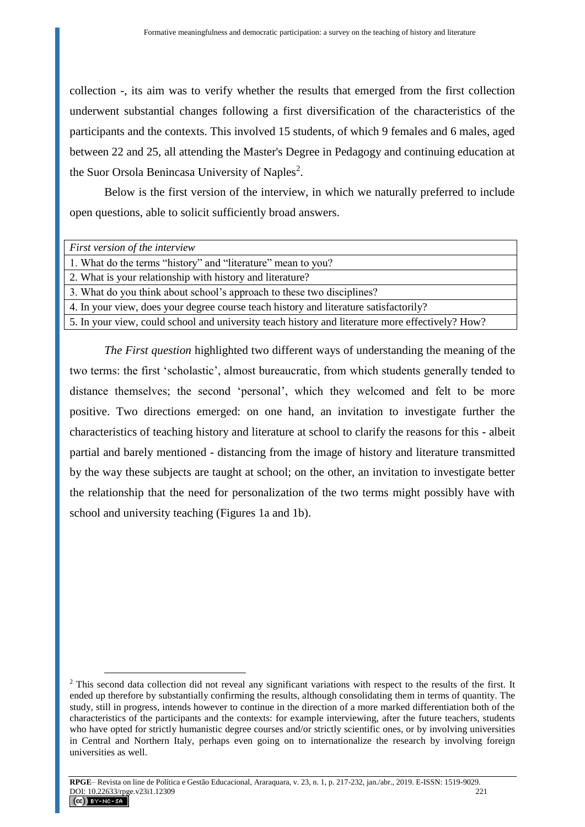collection -, its aim was to verify whether the results that emerged from the first collection underwent substantial changes following a first diversification of the characteristics of the participants and the contexts. This involved 15 students, of which 9 females and 6 males, aged between 22 and 25, all attending the Master's Degree in Pedagogy and continuing education at the Suor Orsola Benincasa University of Naples<sup>2</sup>.

Below is the first version of the interview, in which we naturally preferred to include open questions, able to solicit sufficiently broad answers.

| First version of the interview                                                                   |
|--------------------------------------------------------------------------------------------------|
| 1. What do the terms "history" and "literature" mean to you?                                     |
| 2. What is your relationship with history and literature?                                        |
| 3. What do you think about school's approach to these two disciplines?                           |
| 4. In your view, does your degree course teach history and literature satisfactorily?            |
| 5. In your view, could school and university teach history and literature more effectively? How? |
|                                                                                                  |

*The First question* highlighted two different ways of understanding the meaning of the two terms: the first 'scholastic', almost bureaucratic, from which students generally tended to distance themselves; the second 'personal', which they welcomed and felt to be more positive. Two directions emerged: on one hand, an invitation to investigate further the characteristics of teaching history and literature at school to clarify the reasons for this - albeit partial and barely mentioned - distancing from the image of history and literature transmitted by the way these subjects are taught at school; on the other, an invitation to investigate better the relationship that the need for personalization of the two terms might possibly have with school and university teaching (Figures 1a and 1b).

 $\overline{a}$ 

<sup>&</sup>lt;sup>2</sup> This second data collection did not reveal any significant variations with respect to the results of the first. It ended up therefore by substantially confirming the results, although consolidating them in terms of quantity. The study, still in progress, intends however to continue in the direction of a more marked differentiation both of the characteristics of the participants and the contexts: for example interviewing, after the future teachers, students who have opted for strictly humanistic degree courses and/or strictly scientific ones, or by involving universities in Central and Northern Italy, perhaps even going on to internationalize the research by involving foreign universities as well.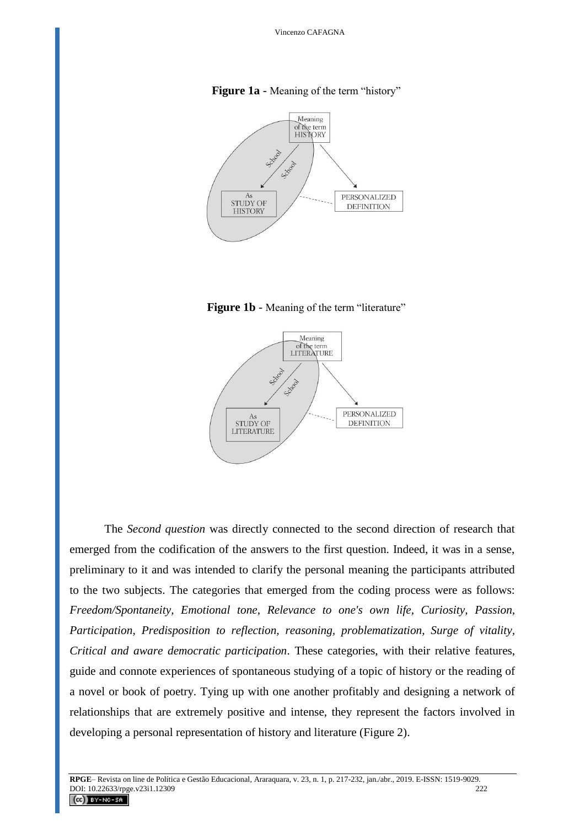#### Figure 1a - Meaning of the term "history"







The *Second question* was directly connected to the second direction of research that emerged from the codification of the answers to the first question. Indeed, it was in a sense, preliminary to it and was intended to clarify the personal meaning the participants attributed to the two subjects. The categories that emerged from the coding process were as follows: *Freedom/Spontaneity, Emotional tone, Relevance to one's own life, Curiosity, Passion, Participation, Predisposition to reflection, reasoning, problematization, Surge of vitality, Critical and aware democratic participation*. These categories, with their relative features, guide and connote experiences of spontaneous studying of a topic of history or the reading of a novel or book of poetry. Tying up with one another profitably and designing a network of relationships that are extremely positive and intense, they represent the factors involved in developing a personal representation of history and literature (Figure 2).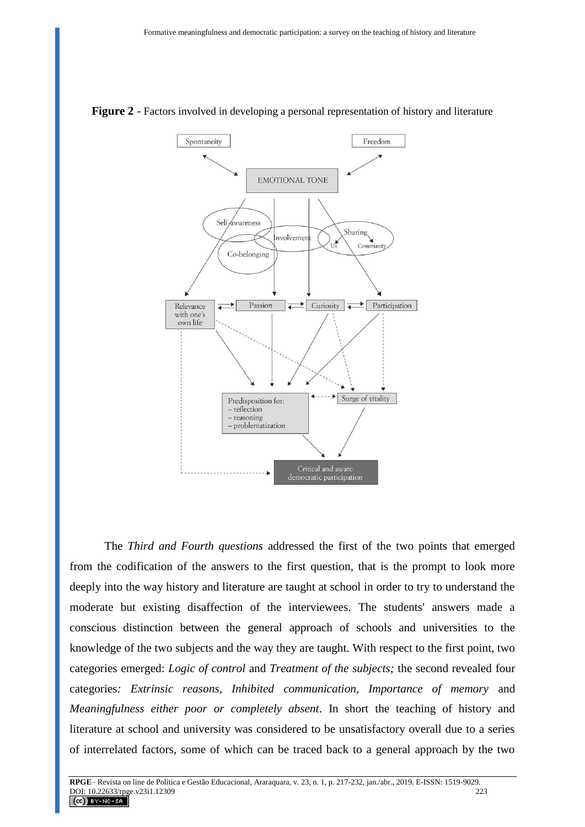

**Figure 2** - Factors involved in developing a personal representation of history and literature

The *Third and Fourth questions* addressed the first of the two points that emerged from the codification of the answers to the first question, that is the prompt to look more deeply into the way history and literature are taught at school in order to try to understand the moderate but existing disaffection of the interviewees. The students' answers made a conscious distinction between the general approach of schools and universities to the knowledge of the two subjects and the way they are taught. With respect to the first point, two categories emerged: *Logic of control* and *Treatment of the subjects;* the second revealed four categories*: Extrinsic reasons, Inhibited communication, Importance of memory* and *Meaningfulness either poor or completely absent*. In short the teaching of history and literature at school and university was considered to be unsatisfactory overall due to a series of interrelated factors, some of which can be traced back to a general approach by the two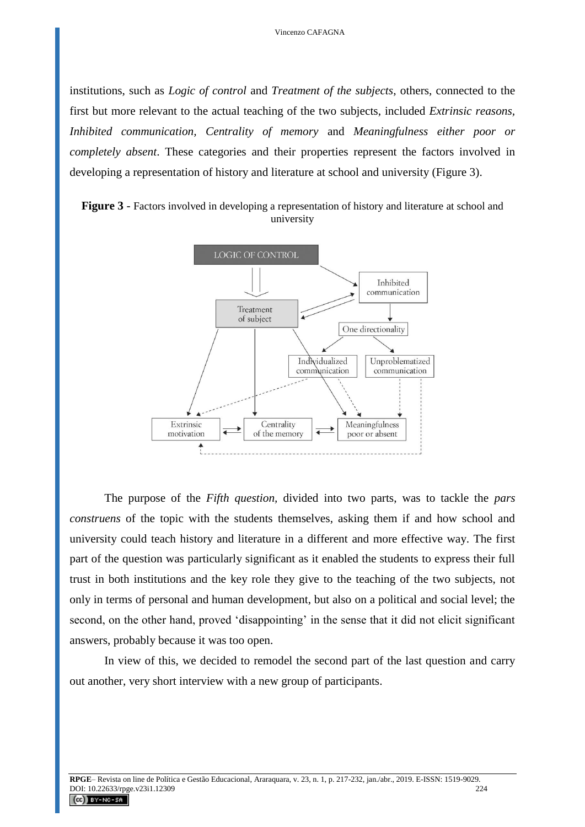institutions, such as *Logic of control* and *Treatment of the subjects*, others, connected to the first but more relevant to the actual teaching of the two subjects, included *Extrinsic reasons, Inhibited communication, Centrality of memory* and *Meaningfulness either poor or completely absent*. These categories and their properties represent the factors involved in developing a representation of history and literature at school and university (Figure 3).





The purpose of the *Fifth question,* divided into two parts, was to tackle the *pars construens* of the topic with the students themselves, asking them if and how school and university could teach history and literature in a different and more effective way. The first part of the question was particularly significant as it enabled the students to express their full trust in both institutions and the key role they give to the teaching of the two subjects, not only in terms of personal and human development, but also on a political and social level; the second, on the other hand, proved 'disappointing' in the sense that it did not elicit significant answers, probably because it was too open.

In view of this, we decided to remodel the second part of the last question and carry out another, very short interview with a new group of participants.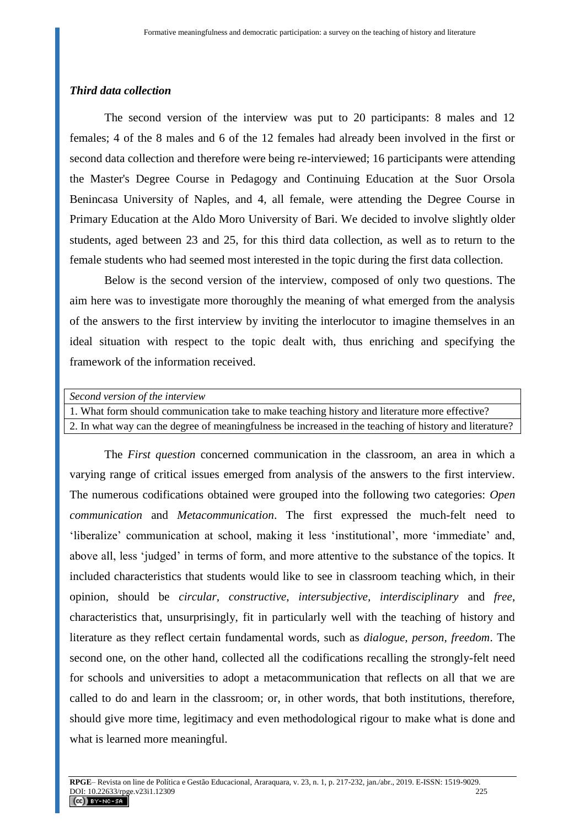#### *Third data collection*

The second version of the interview was put to 20 participants: 8 males and 12 females; 4 of the 8 males and 6 of the 12 females had already been involved in the first or second data collection and therefore were being re-interviewed; 16 participants were attending the Master's Degree Course in Pedagogy and Continuing Education at the Suor Orsola Benincasa University of Naples, and 4, all female, were attending the Degree Course in Primary Education at the Aldo Moro University of Bari. We decided to involve slightly older students, aged between 23 and 25, for this third data collection, as well as to return to the female students who had seemed most interested in the topic during the first data collection.

Below is the second version of the interview, composed of only two questions. The aim here was to investigate more thoroughly the meaning of what emerged from the analysis of the answers to the first interview by inviting the interlocutor to imagine themselves in an ideal situation with respect to the topic dealt with, thus enriching and specifying the framework of the information received.

| Second version of the interview                                                                         |
|---------------------------------------------------------------------------------------------------------|
| 1. What form should communication take to make teaching history and literature more effective?          |
| 2. In what way can the degree of meaningfulness be increased in the teaching of history and literature? |

The *First question* concerned communication in the classroom, an area in which a varying range of critical issues emerged from analysis of the answers to the first interview. The numerous codifications obtained were grouped into the following two categories: *Open communication* and *Metacommunication*. The first expressed the much-felt need to 'liberalize' communication at school, making it less 'institutional', more 'immediate' and, above all, less 'judged' in terms of form, and more attentive to the substance of the topics. It included characteristics that students would like to see in classroom teaching which, in their opinion, should be *circular, constructive*, *intersubjective, interdisciplinary* and *free*, characteristics that, unsurprisingly, fit in particularly well with the teaching of history and literature as they reflect certain fundamental words, such as *dialogue, person, freedom*. The second one, on the other hand, collected all the codifications recalling the strongly-felt need for schools and universities to adopt a metacommunication that reflects on all that we are called to do and learn in the classroom; or, in other words, that both institutions, therefore, should give more time, legitimacy and even methodological rigour to make what is done and what is learned more meaningful.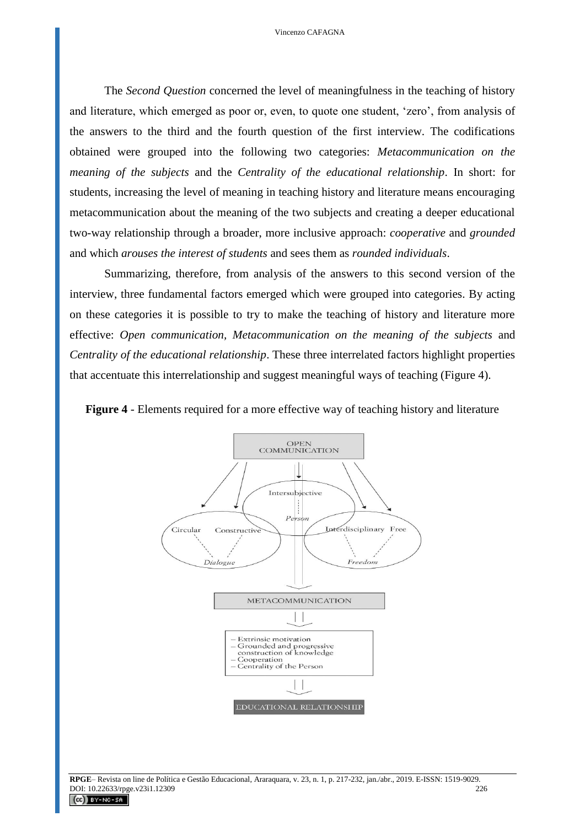The *Second Question* concerned the level of meaningfulness in the teaching of history and literature, which emerged as poor or, even, to quote one student, 'zero', from analysis of the answers to the third and the fourth question of the first interview. The codifications obtained were grouped into the following two categories: *Metacommunication on the meaning of the subjects* and the *Centrality of the educational relationship*. In short: for students, increasing the level of meaning in teaching history and literature means encouraging metacommunication about the meaning of the two subjects and creating a deeper educational two-way relationship through a broader, more inclusive approach: *cooperative* and *grounded* and which *arouses the interest of students* and sees them as *rounded individuals*.

Summarizing, therefore, from analysis of the answers to this second version of the interview, three fundamental factors emerged which were grouped into categories. By acting on these categories it is possible to try to make the teaching of history and literature more effective: *Open communication, Metacommunication on the meaning of the subjects* and *Centrality of the educational relationship*. These three interrelated factors highlight properties that accentuate this interrelationship and suggest meaningful ways of teaching (Figure 4).



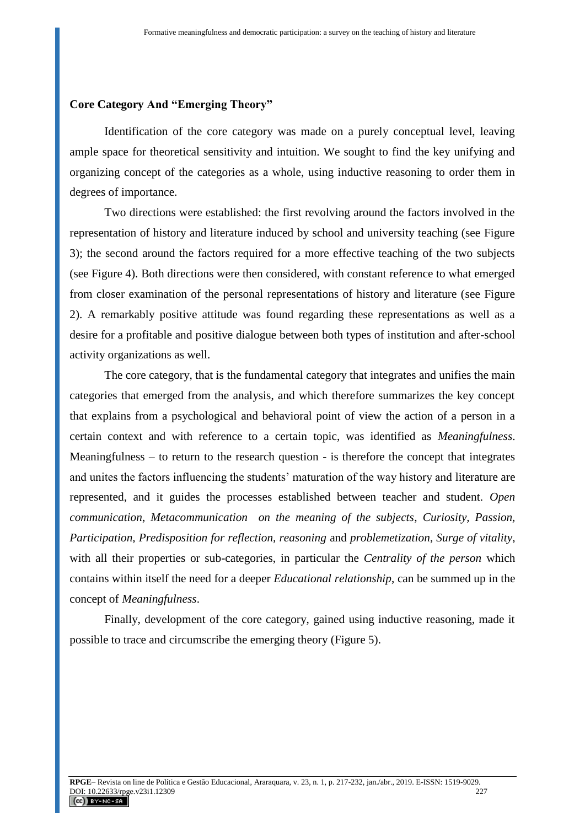#### **Core Category And "Emerging Theory"**

Identification of the core category was made on a purely conceptual level, leaving ample space for theoretical sensitivity and intuition. We sought to find the key unifying and organizing concept of the categories as a whole, using inductive reasoning to order them in degrees of importance.

Two directions were established: the first revolving around the factors involved in the representation of history and literature induced by school and university teaching (see Figure 3); the second around the factors required for a more effective teaching of the two subjects (see Figure 4). Both directions were then considered, with constant reference to what emerged from closer examination of the personal representations of history and literature (see Figure 2). A remarkably positive attitude was found regarding these representations as well as a desire for a profitable and positive dialogue between both types of institution and after-school activity organizations as well.

The core category, that is the fundamental category that integrates and unifies the main categories that emerged from the analysis, and which therefore summarizes the key concept that explains from a psychological and behavioral point of view the action of a person in a certain context and with reference to a certain topic, was identified as *Meaningfulness*. Meaningfulness – to return to the research question - is therefore the concept that integrates and unites the factors influencing the students' maturation of the way history and literature are represented, and it guides the processes established between teacher and student. *Open communication*, *Metacommunication on the meaning of the subjects*, *Curiosity, Passion, Participation, Predisposition for reflection, reasoning* and *problemetization*, *Surge of vitality*, with all their properties or sub-categories, in particular the *Centrality of the person* which contains within itself the need for a deeper *Educational relationship*, can be summed up in the concept of *Meaningfulness*.

Finally, development of the core category, gained using inductive reasoning, made it possible to trace and circumscribe the emerging theory (Figure 5).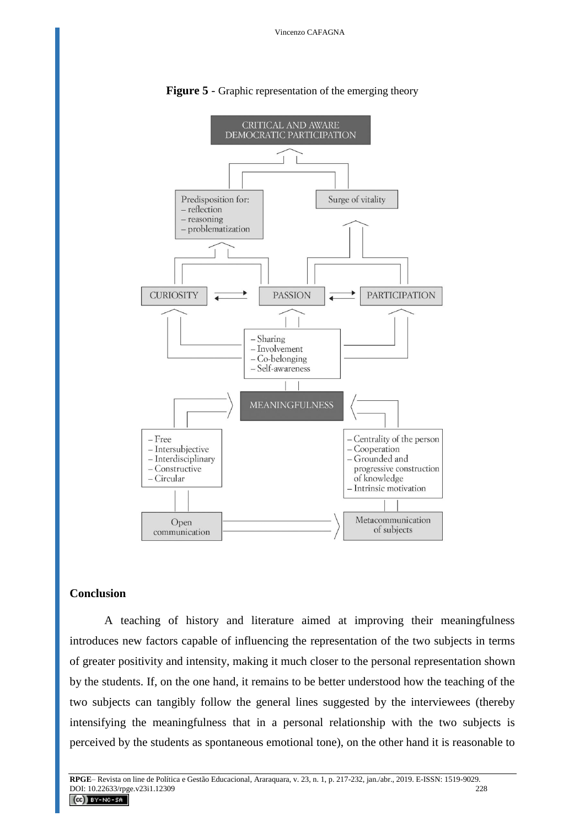

**Figure 5** - Graphic representation of the emerging theory

### **Conclusion**

A teaching of history and literature aimed at improving their meaningfulness introduces new factors capable of influencing the representation of the two subjects in terms of greater positivity and intensity, making it much closer to the personal representation shown by the students. If, on the one hand, it remains to be better understood how the teaching of the two subjects can tangibly follow the general lines suggested by the interviewees (thereby intensifying the meaningfulness that in a personal relationship with the two subjects is perceived by the students as spontaneous emotional tone), on the other hand it is reasonable to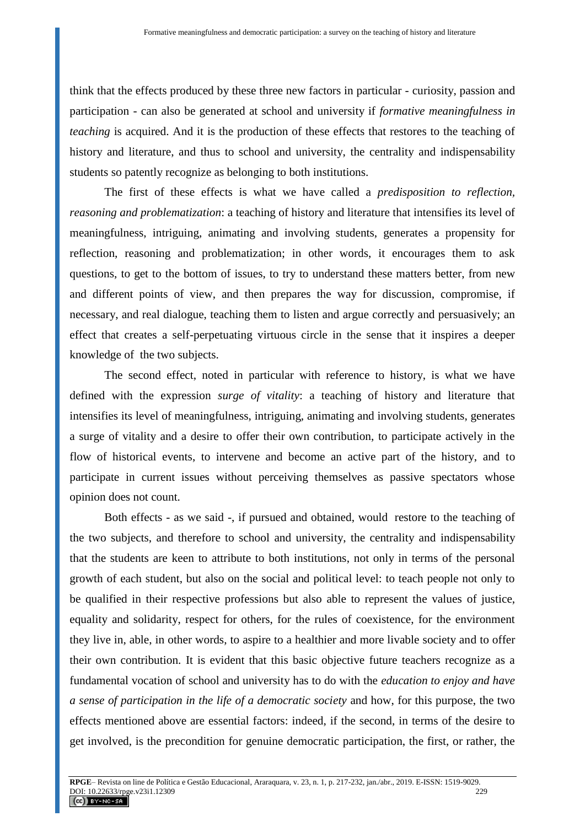think that the effects produced by these three new factors in particular - curiosity, passion and participation - can also be generated at school and university if *formative meaningfulness in teaching* is acquired. And it is the production of these effects that restores to the teaching of history and literature, and thus to school and university, the centrality and indispensability students so patently recognize as belonging to both institutions.

The first of these effects is what we have called a *predisposition to reflection, reasoning and problematization*: a teaching of history and literature that intensifies its level of meaningfulness, intriguing, animating and involving students, generates a propensity for reflection, reasoning and problematization; in other words, it encourages them to ask questions, to get to the bottom of issues, to try to understand these matters better, from new and different points of view, and then prepares the way for discussion, compromise, if necessary, and real dialogue, teaching them to listen and argue correctly and persuasively; an effect that creates a self-perpetuating virtuous circle in the sense that it inspires a deeper knowledge of the two subjects.

The second effect, noted in particular with reference to history, is what we have defined with the expression *surge of vitality*: a teaching of history and literature that intensifies its level of meaningfulness, intriguing, animating and involving students, generates a surge of vitality and a desire to offer their own contribution, to participate actively in the flow of historical events, to intervene and become an active part of the history, and to participate in current issues without perceiving themselves as passive spectators whose opinion does not count.

Both effects - as we said -, if pursued and obtained, would restore to the teaching of the two subjects, and therefore to school and university, the centrality and indispensability that the students are keen to attribute to both institutions, not only in terms of the personal growth of each student, but also on the social and political level: to teach people not only to be qualified in their respective professions but also able to represent the values of justice, equality and solidarity, respect for others, for the rules of coexistence, for the environment they live in, able, in other words, to aspire to a healthier and more livable society and to offer their own contribution. It is evident that this basic objective future teachers recognize as a fundamental vocation of school and university has to do with the *education to enjoy and have a sense of participation in the life of a democratic society* and how, for this purpose, the two effects mentioned above are essential factors: indeed, if the second, in terms of the desire to get involved, is the precondition for genuine democratic participation, the first, or rather, the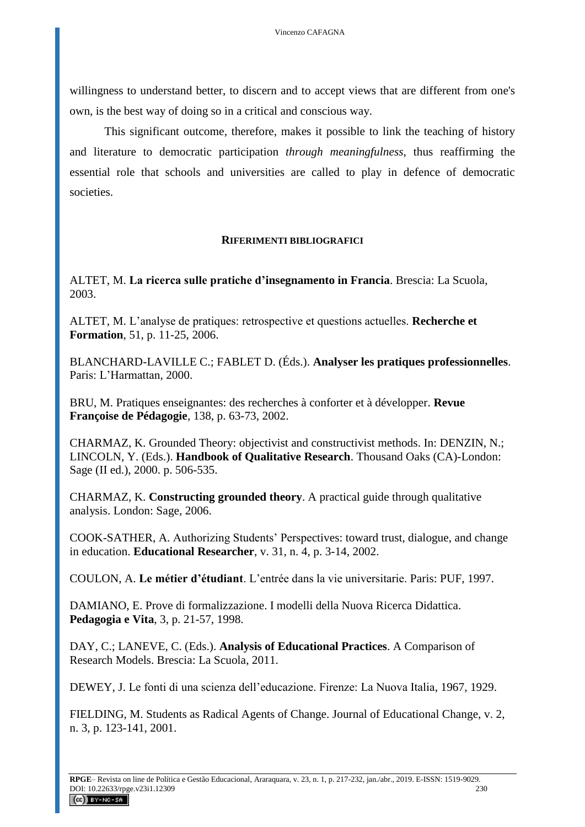willingness to understand better, to discern and to accept views that are different from one's own, is the best way of doing so in a critical and conscious way.

This significant outcome, therefore, makes it possible to link the teaching of history and literature to democratic participation *through meaningfulness*, thus reaffirming the essential role that schools and universities are called to play in defence of democratic societies.

### **RIFERIMENTI BIBLIOGRAFICI**

ALTET, M. **La ricerca sulle pratiche d'insegnamento in Francia**. Brescia: La Scuola, 2003.

ALTET, M. L'analyse de pratiques: retrospective et questions actuelles. **Recherche et Formation**, 51, p. 11-25, 2006.

BLANCHARD-LAVILLE C.; FABLET D. (Éds.). **Analyser les pratiques professionnelles**. Paris: L'Harmattan, 2000.

BRU, M. Pratiques enseignantes: des recherches à conforter et à développer. **Revue Françoise de Pédagogie**, 138, p. 63-73, 2002.

CHARMAZ, K. Grounded Theory: objectivist and constructivist methods. In: DENZIN, N.; LINCOLN, Y. (Eds.). **Handbook of Qualitative Research**. Thousand Oaks (CA)-London: Sage (II ed.), 2000. p. 506-535.

CHARMAZ, K. **Constructing grounded theory**. A practical guide through qualitative analysis. London: Sage, 2006.

COOK-SATHER, A. Authorizing Students' Perspectives: toward trust, dialogue, and change in education. **Educational Researcher**, v. 31, n. 4, p. 3-14, 2002.

COULON, A. **Le métier d'étudiant**. L'entrée dans la vie universitarie. Paris: PUF, 1997.

DAMIANO, E. Prove di formalizzazione. I modelli della Nuova Ricerca Didattica. **Pedagogia e Vita**, 3, p. 21-57, 1998.

DAY, C.; LANEVE, C. (Eds.). **Analysis of Educational Practices**. A Comparison of Research Models. Brescia: La Scuola, 2011.

DEWEY, J. Le fonti di una scienza dell'educazione. Firenze: La Nuova Italia, 1967, 1929.

FIELDING, M. Students as Radical Agents of Change. Journal of Educational Change, v. 2, n. 3, p. 123-141, 2001.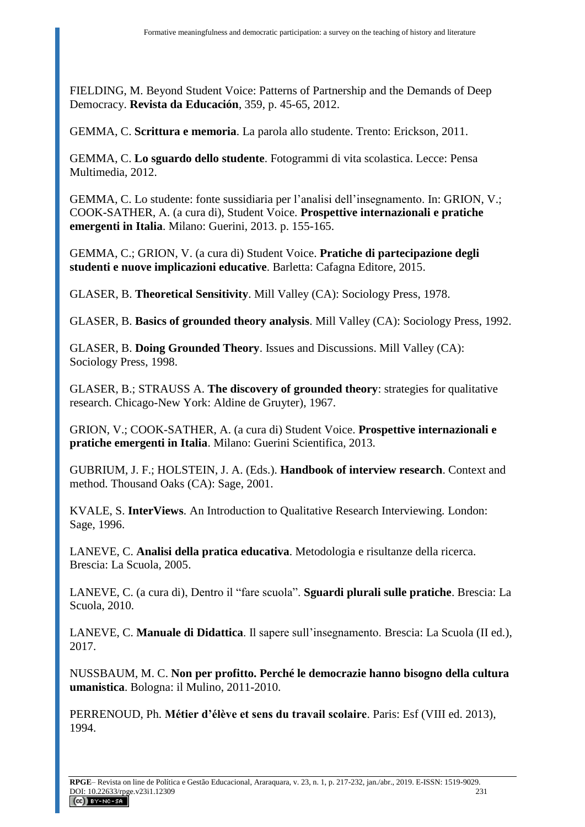FIELDING, M. Beyond Student Voice: Patterns of Partnership and the Demands of Deep Democracy. **Revista da Educación**, 359, p. 45-65, 2012.

GEMMA, C. **Scrittura e memoria**. La parola allo studente. Trento: Erickson, 2011.

GEMMA, C. **Lo sguardo dello studente**. Fotogrammi di vita scolastica. Lecce: Pensa Multimedia, 2012.

GEMMA, C. Lo studente: fonte sussidiaria per l'analisi dell'insegnamento. In: GRION, V.; COOK-SATHER, A. (a cura di), Student Voice. **Prospettive internazionali e pratiche emergenti in Italia**. Milano: Guerini, 2013. p. 155-165.

GEMMA, C.; GRION, V. (a cura di) Student Voice. **Pratiche di partecipazione degli studenti e nuove implicazioni educative**. Barletta: Cafagna Editore, 2015.

GLASER, B. **Theoretical Sensitivity**. Mill Valley (CA): Sociology Press, 1978.

GLASER, B. **Basics of grounded theory analysis**. Mill Valley (CA): Sociology Press, 1992.

GLASER, B. **Doing Grounded Theory**. Issues and Discussions. Mill Valley (CA): Sociology Press, 1998.

GLASER, B.; STRAUSS A. **The discovery of grounded theory**: strategies for qualitative research. Chicago-New York: Aldine de Gruyter), 1967.

GRION, V.; COOK-SATHER, A. (a cura di) Student Voice. **Prospettive internazionali e pratiche emergenti in Italia**. Milano: Guerini Scientifica, 2013.

GUBRIUM, J. F.; HOLSTEIN, J. A. (Eds.). **Handbook of interview research**. Context and method. Thousand Oaks (CA): Sage, 2001.

KVALE, S. **InterViews**. An Introduction to Qualitative Research Interviewing. London: Sage, 1996.

LANEVE, C. **Analisi della pratica educativa**. Metodologia e risultanze della ricerca. Brescia: La Scuola, 2005.

LANEVE, C. (a cura di), Dentro il "fare scuola". **Sguardi plurali sulle pratiche**. Brescia: La Scuola, 2010.

LANEVE, C. **Manuale di Didattica**. Il sapere sull'insegnamento. Brescia: La Scuola (II ed.), 2017.

NUSSBAUM, M. C. **Non per profitto. Perché le democrazie hanno bisogno della cultura umanistica**. Bologna: il Mulino, 2011-2010.

PERRENOUD, Ph. **Métier d'élève et sens du travail scolaire**. Paris: Esf (VIII ed. 2013), 1994.